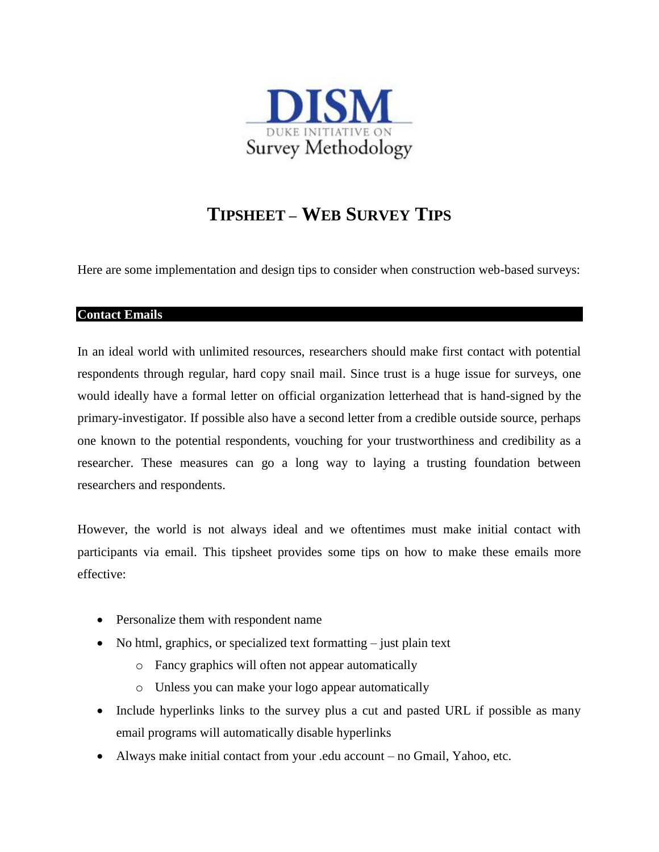

## **TIPSHEET – WEB SURVEY TIPS**

Here are some implementation and design tips to consider when construction web-based surveys:

## **Contact Emails**

In an ideal world with unlimited resources, researchers should make first contact with potential respondents through regular, hard copy snail mail. Since trust is a huge issue for surveys, one would ideally have a formal letter on official organization letterhead that is hand-signed by the primary-investigator. If possible also have a second letter from a credible outside source, perhaps one known to the potential respondents, vouching for your trustworthiness and credibility as a researcher. These measures can go a long way to laying a trusting foundation between researchers and respondents.

However, the world is not always ideal and we oftentimes must make initial contact with participants via email. This tipsheet provides some tips on how to make these emails more effective:

- Personalize them with respondent name
- $\bullet$  No html, graphics, or specialized text formatting  $-$  just plain text
	- o Fancy graphics will often not appear automatically
	- o Unless you can make your logo appear automatically
- Include hyperlinks links to the survey plus a cut and pasted URL if possible as many email programs will automatically disable hyperlinks
- Always make initial contact from your .edu account no Gmail, Yahoo, etc.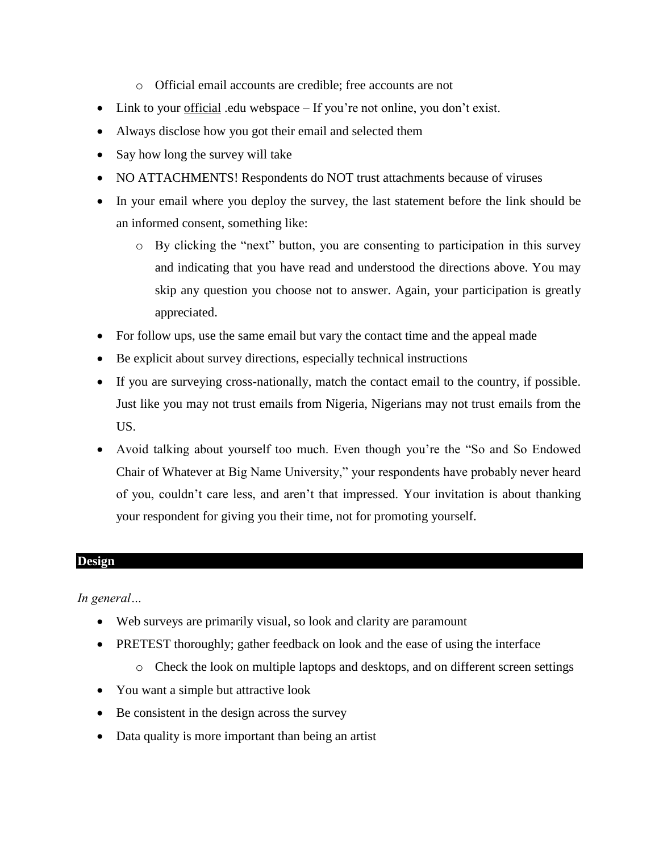- o Official email accounts are credible; free accounts are not
- Link to your official .edu webspace If you're not online, you don't exist.
- Always disclose how you got their email and selected them
- Say how long the survey will take
- NO ATTACHMENTS! Respondents do NOT trust attachments because of viruses
- In your email where you deploy the survey, the last statement before the link should be an informed consent, something like:
	- o By clicking the "next" button, you are consenting to participation in this survey and indicating that you have read and understood the directions above. You may skip any question you choose not to answer. Again, your participation is greatly appreciated.
- For follow ups, use the same email but vary the contact time and the appeal made
- Be explicit about survey directions, especially technical instructions
- If you are surveying cross-nationally, match the contact email to the country, if possible. Just like you may not trust emails from Nigeria, Nigerians may not trust emails from the US.
- Avoid talking about yourself too much. Even though you're the "So and So Endowed Chair of Whatever at Big Name University," your respondents have probably never heard of you, couldn't care less, and aren't that impressed. Your invitation is about thanking your respondent for giving you their time, not for promoting yourself.

## **Design**

*In general…*

- Web surveys are primarily visual, so look and clarity are paramount
- PRETEST thoroughly; gather feedback on look and the ease of using the interface
	- o Check the look on multiple laptops and desktops, and on different screen settings
- You want a simple but attractive look
- Be consistent in the design across the survey
- Data quality is more important than being an artist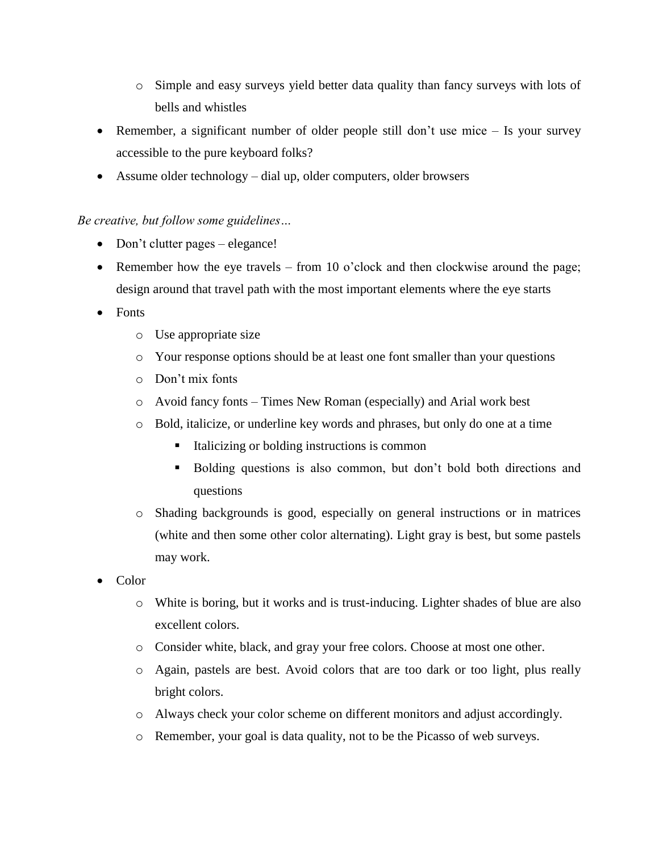- o Simple and easy surveys yield better data quality than fancy surveys with lots of bells and whistles
- Remember, a significant number of older people still don't use mice Is your survey accessible to the pure keyboard folks?
- Assume older technology dial up, older computers, older browsers

## *Be creative, but follow some guidelines…*

- Don't clutter pages elegance!
- Remember how the eye travels from 10 o'clock and then clockwise around the page; design around that travel path with the most important elements where the eye starts
- Fonts
	- o Use appropriate size
	- o Your response options should be at least one font smaller than your questions
	- o Don't mix fonts
	- o Avoid fancy fonts Times New Roman (especially) and Arial work best
	- o Bold, italicize, or underline key words and phrases, but only do one at a time
		- Italicizing or bolding instructions is common
		- Bolding questions is also common, but don't bold both directions and questions
	- o Shading backgrounds is good, especially on general instructions or in matrices (white and then some other color alternating). Light gray is best, but some pastels may work.
- Color
	- o White is boring, but it works and is trust-inducing. Lighter shades of blue are also excellent colors.
	- o Consider white, black, and gray your free colors. Choose at most one other.
	- o Again, pastels are best. Avoid colors that are too dark or too light, plus really bright colors.
	- o Always check your color scheme on different monitors and adjust accordingly.
	- o Remember, your goal is data quality, not to be the Picasso of web surveys.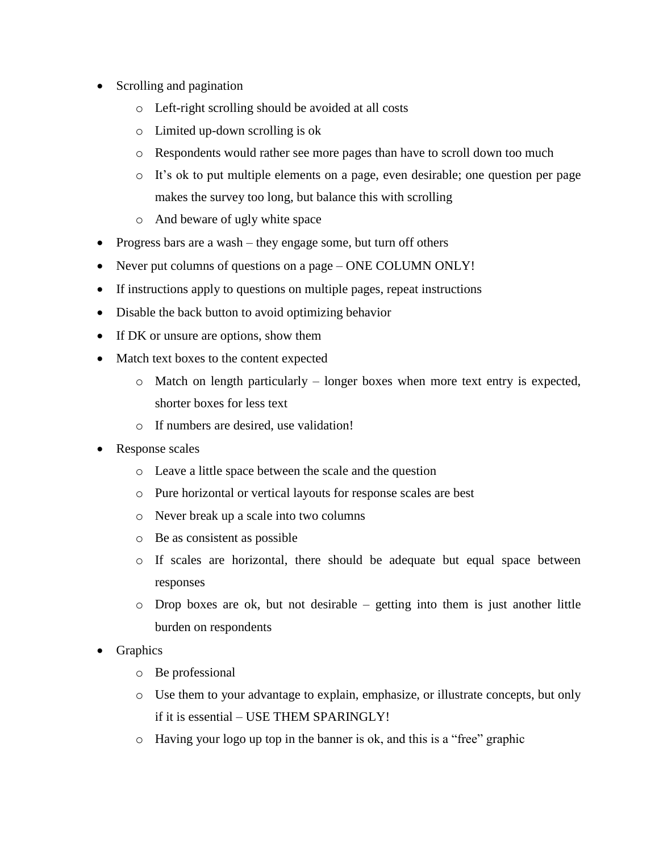- Scrolling and pagination
	- o Left-right scrolling should be avoided at all costs
	- o Limited up-down scrolling is ok
	- o Respondents would rather see more pages than have to scroll down too much
	- o It's ok to put multiple elements on a page, even desirable; one question per page makes the survey too long, but balance this with scrolling
	- o And beware of ugly white space
- Progress bars are a wash they engage some, but turn off others
- Never put columns of questions on a page ONE COLUMN ONLY!
- If instructions apply to questions on multiple pages, repeat instructions
- Disable the back button to avoid optimizing behavior
- If DK or unsure are options, show them
- Match text boxes to the content expected
	- o Match on length particularly longer boxes when more text entry is expected, shorter boxes for less text
	- o If numbers are desired, use validation!
- Response scales
	- o Leave a little space between the scale and the question
	- o Pure horizontal or vertical layouts for response scales are best
	- o Never break up a scale into two columns
	- o Be as consistent as possible
	- o If scales are horizontal, there should be adequate but equal space between responses
	- o Drop boxes are ok, but not desirable getting into them is just another little burden on respondents
- Graphics
	- o Be professional
	- o Use them to your advantage to explain, emphasize, or illustrate concepts, but only if it is essential – USE THEM SPARINGLY!
	- o Having your logo up top in the banner is ok, and this is a "free" graphic